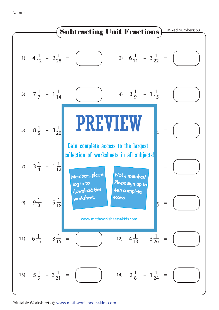